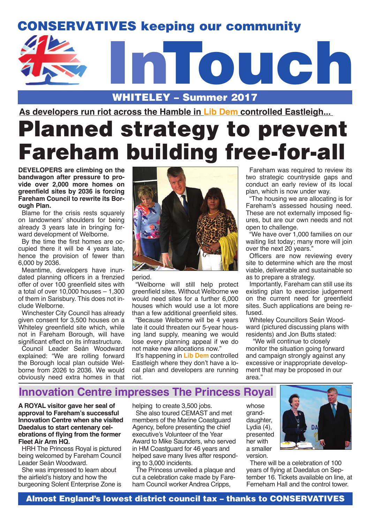# CONSERVATIVES keeping our community

# WHITELEY – Summer 2017 InTouch

**As developers run riot across the Hamble in Lib Dem controlled Eastleigh...** 

# Planned strategy to prevent Fareham building free-for-all

**DEVELOPERS are climbing on the bandwagon after pressure to provide over 2,000 more homes on greenfield sites by 2036 is forcing Fareham Council to rewrite its Borough Plan.**

Blame for the crisis rests squarely on landowners' shoulders for being already 3 years late in bringing forward development of Welborne.

By the time the first homes are occupied there it will be 4 years late, hence the provision of fewer than 6,000 by 2036.

Meantime, developers have inundated planning officers in a frenzied offer of over 100 greenfield sites with a total of over 10,000 houses – 1,300 of them in Sarisbury. This does not include Welborne.

Winchester City Council has already given consent for 3,500 houses on a Whiteley greenfield site which, while not in Fareham Borough, will have significant effect on its infrastructure.

Council Leader Seán Woodward explained: "We are rolling forward the Borough local plan outside Welborne from 2026 to 2036. We would obviously need extra homes in that



period.

"Welborne will still help protect greenfield sites. Without Welborne we would need sites for a further 6,000 houses which would use a lot more than a few additional greenfield sites.

"Because Welborne will be 4 years late it could threaten our 5-year housing land supply, meaning we would lose every planning appeal if we do not make new allocations now."

It's happening in **Lib Dem** controlled Eastleigh where they don't have a local plan and developers are running riot.

Fareham was required to review its two strategic countryside gaps and conduct an early review of its local plan, which is now under way.

"The housing we are allocating is for Fareham's assessed housing need. These are not externally imposed figures, but are our own needs and not open to challenge.

"We have over 1,000 families on our waiting list today; many more will join over the next 20 years."

Officers are now reviewing every site to determine which are the most viable, deliverable and sustainable so as to prepare a strategy.

Importantly, Fareham can still use its existing plan to exercise judgement on the current need for greenfield sites. Such applications are being refused.

Whiteley Councillors Seán Woodward (pictured discussing plans with residents) and Jon Butts stated:

 "We will continue to closely monitor the situation going forward and campaign strongly against any excessive or inappropriate development that may be proposed in our area."

### **Innovation Centre impresses The Princess Royal**

**A ROYAL visitor gave her seal of approval to Fareham's successful Innovation Centre when she visited Daedalus to start centenary celebrations of flying from the former Fleet Air Arm HQ.**

HRH The Princess Royal is pictured being welcomed by Fareham Council Leader Seán Woodward.

She was impressed to learn about the airfield's history and how the burgeoning Solent Enterprise Zone is

helping to create 3,500 jobs.

She also toured CEMAST and met members of the Marine Coastguard Agency, before presenting the chief executive's Volunteer of the Year Award to Mike Saunders, who served in HM Coastguard for 46 years and helped save many lives after responding to 3,000 incidents.

The Princess unveiled a plaque and cut a celebration cake made by Fareham Council worker Andrea Cripps,

whose granddaughter, Lydia (4), presented her with a smaller version.



There will be a celebration of 100 years of flying at Daedalus on September 16. Tickets available on line, at Ferneham Hall and the control tower.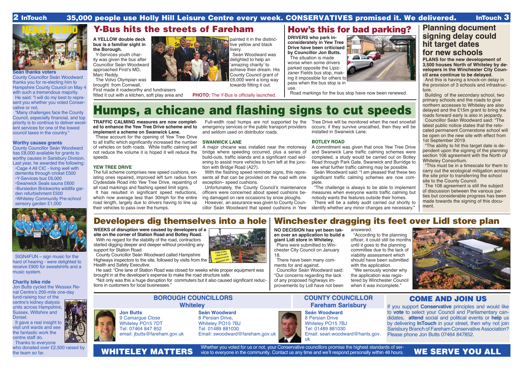**Seán thanks voters**

County Councillor Seán Woodward thanks you for re-electing him to Hampshire County Council on May 4 with such a tremendous majority. He said: "I will do my best to represent you whether you voted Conser-

vative or not.

"Many challenges face the County Council, especially financial, and top priority is to continue to deliver excellent services for one of the lowest council taxes in the country."

**Worthy causes grants**

nal Centre's 200-mile one-day fund-raising tour of the centre's kidney dialysis units across Hampshire, Sussex, Wiltshire and **Dorset** 

County Councillor Seán Woodward has £8,000 available for grants to worthy causes in Sarisbury Division. Last year, he awarded the following: •Cage 4 All CIC - living well with dementia through cricket £500 •Y-Services bus £6,000 •Swanwick Seals sauna £600 •Bursledon Brickworks wildlife gar-

It gave a real insight to visit unit wards and see the fantastic work the centre staff do.

den refurbishment £500

•Whiteley Community Pre-school

sensory garden £1,000

SIGN4FUN – sign music for the hard of hearing - were delighted to receive £900 for sweatshirts and a

music system.

**Charity bike ride**

Jon Butts cycled the Wessex Re-

### 2 InTouch 35,000 people use Holly Hill Leisure Centre every week. CONSERVATIVES promised it. We delivered. InTouch 3

Thanks to everyone who donated over £2,500 raised by the team so far.

Whether you voted for us or not, your Conservative councillors promise the highest standards of ser-

### **Seán Woodward** 8 Persian Drive, Whiteley PO15 7BJ Tel: 01489 881030

Email: swoodward@fareham.gov.uk

### **BOROUGH COUNCILLORS Whiteley**

### **COUNTY COUNCILLOR Fareham Sarisbury**

### COME AND JOIN US

If you support **Conservative** principles and would like to **vote** to select your Council and Parliamentary candidates, **attend** social and political events or **help** us by delivering **InTouch** in your street, then why not join Sarisbury Branch of Fareham Conservative Association? Please phone Jon Butts 07464 847852.

## WHITELEY MATTERS wice to everyone in the community. Contact us any time and we'll respond personally within 48 hours. WE SERVE YOU ALL

**Seán Woodward** 8 Persian Drive Whiteley PO15 7BJ

Tel: 01489 881030 uk







Email: sean.woodward@hants.gov.

NEWS ROUND

**Jon Butts** 9 Camarque Close Whiteley PO15 7DT Tel: 07464 847 852 email: jbutts@fareham.gov.uk

### **Planning document signing delay could hit target dates for new schools**

**PLANS for the new development of 3,500 houses North of Whiteley by developers in the Winchester City Council area continue to be delayed.** 

It has resulted in significant speed reductions. which now average less than 30mph for the entire road length, largely due to drivers having to line up their vehicles to pass over the humps.

And this is having a knock-on delay in the provision of 3 schools and infrastructure.

Building of the secondary school, two primary schools and the roads to give northern accesses to Whiteley are also delayed and the £15m grant to bring the roads forward early is also in jeopardy.

Councillor Seán Woodward said: "The latest public notice states that the relocated permanent Cornerstone school will be open on the new site with effect from 1st September 2019.

"The ability to hit this target date is dependent upon the signing of the planning section 106 agreement with the North of Whiteley Consortium.

"This must be in a timescale for them to carry out the ecological mitigation across the site prior to transferring the school site to the County Council.

The 106 agreement is still the subject of discussion between the various parties but considerable progress has been made towards the signing of this document.



**WEEKS of disruption were caused by developers of a site on the corner of Station Road and Botley Road.**

With no regard for the stability of the road, contractors started digging deeper and deeper without providing any support for Station Road.

County Councillor Seán Woodward called Hampshire

Highways inspectors to the site, followed by visits from the Health and Safety Executive.

He said: "One lane of Station Road was closed for weeks while proper equipment was brought in at the developer's expense to make the road structure safe.

"We seriously wonder why the application was registered by Winchester Council when it was incomplete."

"Not only was this a huge disruption for commuters but it also caused significant reductions in customers for local businesses."

### Y-Bus hits the streets of Fareham

# Humps, a chicane and flashing signs to cut speeds

**TRAFFIC CALMING measures are now completed to enhance the Yew Tree Drive scheme and to implement a scheme on Swanwick Lane.** 

These account for the opening of Yew Tree Drive to all traffic which significantly increased the number of vehicles on both roads. While traffic calming will not reduce the volume it is hoped it will reduce the speeds.

### **YEW TREE DRIVE**

The full scheme comprises new speed cushions, existing ones repaired, improved left turn radius from Clydesdale Road into Yew Tree Drive, repainting of all road markings and flashing speed limit signs.

Full-width road humps are not supported by the emergency services or the public transport providers and seldom used on distributor roads.

### **SWANWICK LANE**

A major chicane was installed near the motorway bridge where speeding occurred, plus a series of build-outs, traffic islands and a significant road widening to assist more vehicles to turn left at the junction with Bridge Road (A27).

With the flashing speed reminder signs, this represents all that can be provided on the road with one exception– speed cushions.

Unfortunately, the County Council's maintenance officers were concerned about speed cushions being damaged on rare occasions by snow ploughs.

However, an assurance was given to County Councillor Seán Woodward that speed cushions in Yew

Tree Drive will be monitored when the next snowfall occurs; if they survive unscathed, then they will be installed in Swanwick Lane.

### **BOTLEY ROAD**

A commitment was given that once Yew Tree Drive and Swanwick Lane traffic calming schemes were completed, a study would be carried out on Botley Road through Park Gate, Swanwick and Burridge to see what further traffic calming may be possible. Seán Woodward said: "I am pleased that these two significant traffic calming schemes are now complete.

"The challenge is always to be able to implement measures when everyone wants traffic calming but nobody wants the features outside their homes. There will be a safety audit carried out shortly to identify whether any minor changes are necessary."

### Developers dig themselves into a hole | Winchester dragging its feet over Lidl store plan

**A YELLOW double deck bus is a familiar sight in the Borough.**

Y-Services youth charity was given the bus after Councillor Seán Woodward approached First's MD, Marc Reddy.

The Volvo Olympian was brought from Cornwall,

First made it roadworthy and fundraisers fitted it out with a kitchen, soft play area and painted it in the distinctive yellow and black livery.

Seán Woodward was delighted to help an 'amazing charity' to achieve their dream. His County Council grant of £6,000 went a long way towards fitting it out.

**PHOTO:** The Y-Bus is officially launched.

### How's this for bad parking?

**DRIVERS who park inconsiderately in Yew Tree Drive have been criticised by Councillor Jon Butts.** The situation is made

worse when some drivers parked opposite the Lipizzaner Fields bus stop, making it impossible for others to pass when the bus stop is in use.

Road markings for the bus stop have now been renewed.

**NO DECISION has yet been taken over an application to build a giant Lidl store in Whiteley.** Plans were submitted to Win-

chester City Council on January 18. There have been many com-

ments for and against.

Councillor Seán Woodward said: "Our concerns regarding the lack of any proposed highways improvements by Lidl have not been answered. "According to the planning officer, it could still be months until it goes to the planning committee due to the lack of viability assessment which should have been submitted with the application.